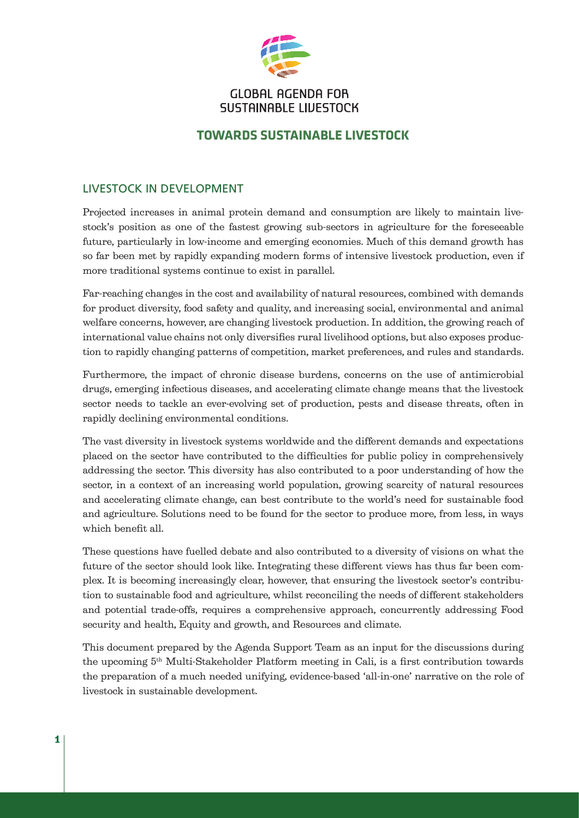

# **GLOBAL AGENDA FOR** SUSTAINABLE LIVESTOCK

# **TOWARDS SUSTAINABLE LIVESTOCK**

## LIVESTOCK IN DEVELOPMENT

Projected increases in animal protein demand and consumption are likely to maintain livestock's position as one of the fastest growing sub-sectors in agriculture for the foreseeable future, particularly in low-income and emerging economies. Much of this demand growth has so far been met by rapidly expanding modern forms of intensive livestock production, even if more traditional systems continue to exist in parallel.

Far-reaching changes in the cost and availability of natural resources, combined with demands for product diversity, food safety and quality, and increasing social, environmental and animal welfare concerns, however, are changing livestock production. In addition, the growing reach of international value chains not only diversifies rural livelihood options, but also exposes production to rapidly changing patterns of competition, market preferences, and rules and standards.

Furthermore, the impact of chronic disease burdens, concerns on the use of antimicrobial drugs, emerging infectious diseases, and accelerating climate change means that the livestock sector needs to tackle an ever-evolving set of production, pests and disease threats, often in rapidly declining environmental conditions.

The vast diversity in livestock systems worldwide and the different demands and expectations placed on the sector have contributed to the difficulties for public policy in comprehensively addressing the sector. This diversity has also contributed to a poor understanding of how the sector, in a context of an increasing world population, growing scarcity of natural resources and accelerating climate change, can best contribute to the world's need for sustainable food and agriculture. Solutions need to be found for the sector to produce more, from less, in ways which benefit all.

These questions have fuelled debate and also contributed to a diversity of visions on what the future of the sector should look like. Integrating these different views has thus far been complex. It is becoming increasingly clear, however, that ensuring the livestock sector's contribution to sustainable food and agriculture, whilst reconciling the needs of different stakeholders and potential trade-offs, requires a comprehensive approach, concurrently addressing Food security and health, Equity and growth, and Resources and climate.

This document prepared by the Agenda Support Team as an input for the discussions during the upcoming 5th Multi-Stakeholder Platform meeting in Cali, is a first contribution towards the preparation of a much needed unifying, evidence-based 'all-in-one' narrative on the role of livestock in sustainable development.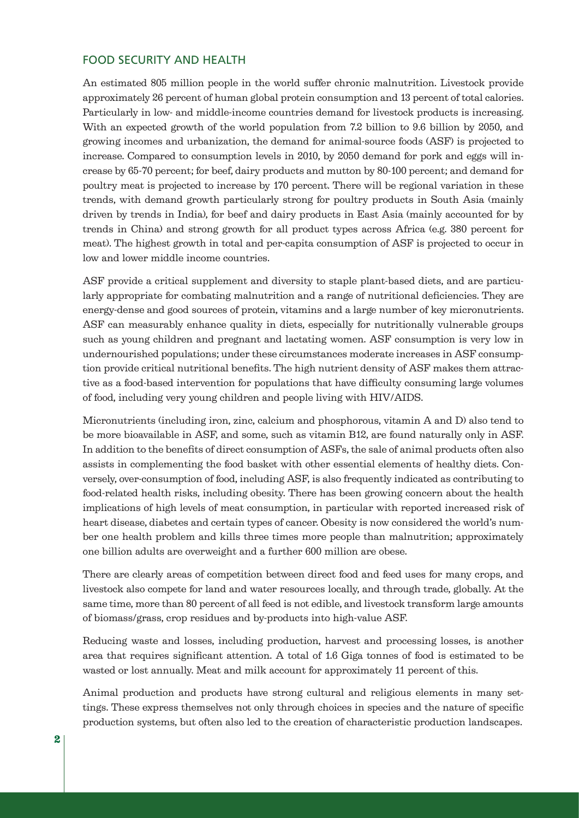### FOOD SECURITY AND HEALTH

An estimated 805 million people in the world suffer chronic malnutrition. Livestock provide approximately 26 percent of human global protein consumption and 13 percent of total calories. Particularly in low- and middle-income countries demand for livestock products is increasing. With an expected growth of the world population from 7.2 billion to 9.6 billion by 2050, and growing incomes and urbanization, the demand for animal-source foods (ASF) is projected to increase. Compared to consumption levels in 2010, by 2050 demand for pork and eggs will increase by 65-70 percent; for beef, dairy products and mutton by 80-100 percent; and demand for poultry meat is projected to increase by 170 percent. There will be regional variation in these trends, with demand growth particularly strong for poultry products in South Asia (mainly driven by trends in India), for beef and dairy products in East Asia (mainly accounted for by trends in China) and strong growth for all product types across Africa (e.g. 380 percent for meat). The highest growth in total and per-capita consumption of ASF is projected to occur in low and lower middle income countries.

ASF provide a critical supplement and diversity to staple plant-based diets, and are particularly appropriate for combating malnutrition and a range of nutritional deficiencies. They are energy-dense and good sources of protein, vitamins and a large number of key micronutrients. ASF can measurably enhance quality in diets, especially for nutritionally vulnerable groups such as young children and pregnant and lactating women. ASF consumption is very low in undernourished populations; under these circumstances moderate increases in ASF consumption provide critical nutritional benefits. The high nutrient density of ASF makes them attractive as a food-based intervention for populations that have difficulty consuming large volumes of food, including very young children and people living with HIV/AIDS.

Micronutrients (including iron, zinc, calcium and phosphorous, vitamin A and D) also tend to be more bioavailable in ASF, and some, such as vitamin B12, are found naturally only in ASF. In addition to the benefits of direct consumption of ASFs, the sale of animal products often also assists in complementing the food basket with other essential elements of healthy diets. Conversely, over-consumption of food, including ASF, is also frequently indicated as contributing to food-related health risks, including obesity. There has been growing concern about the health implications of high levels of meat consumption, in particular with reported increased risk of heart disease, diabetes and certain types of cancer. Obesity is now considered the world's number one health problem and kills three times more people than malnutrition; approximately one billion adults are overweight and a further 600 million are obese.

There are clearly areas of competition between direct food and feed uses for many crops, and livestock also compete for land and water resources locally, and through trade, globally. At the same time, more than 80 percent of all feed is not edible, and livestock transform large amounts of biomass/grass, crop residues and by-products into high-value ASF.

Reducing waste and losses, including production, harvest and processing losses, is another area that requires significant attention. A total of 1.6 Giga tonnes of food is estimated to be wasted or lost annually. Meat and milk account for approximately 11 percent of this.

Animal production and products have strong cultural and religious elements in many settings. These express themselves not only through choices in species and the nature of specific production systems, but often also led to the creation of characteristic production landscapes.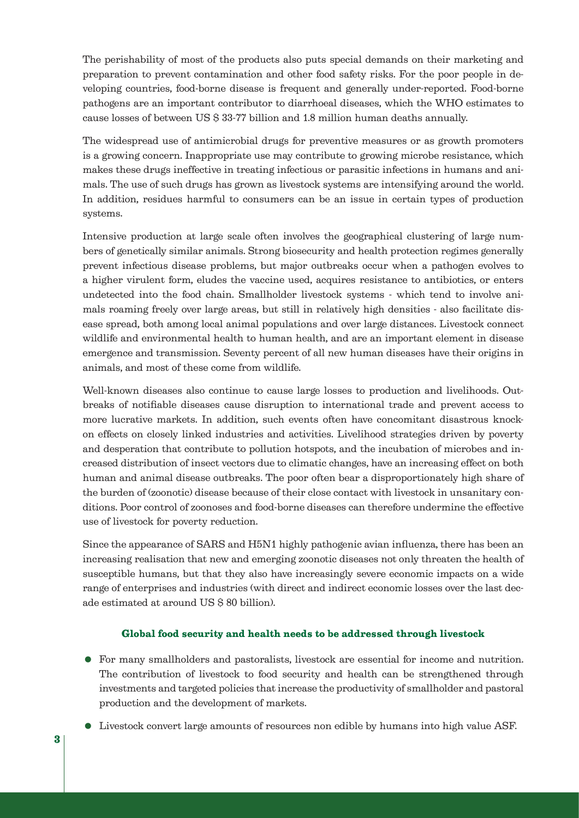The perishability of most of the products also puts special demands on their marketing and preparation to prevent contamination and other food safety risks. For the poor people in developing countries, food-borne disease is frequent and generally under-reported. Food-borne pathogens are an important contributor to diarrhoeal diseases, which the WHO estimates to cause losses of between US \$ 33-77 billion and 1.8 million human deaths annually.

The widespread use of antimicrobial drugs for preventive measures or as growth promoters is a growing concern. Inappropriate use may contribute to growing microbe resistance, which makes these drugs ineffective in treating infectious or parasitic infections in humans and animals. The use of such drugs has grown as livestock systems are intensifying around the world. In addition, residues harmful to consumers can be an issue in certain types of production systems.

Intensive production at large scale often involves the geographical clustering of large numbers of genetically similar animals. Strong biosecurity and health protection regimes generally prevent infectious disease problems, but major outbreaks occur when a pathogen evolves to a higher virulent form, eludes the vaccine used, acquires resistance to antibiotics, or enters undetected into the food chain. Smallholder livestock systems - which tend to involve animals roaming freely over large areas, but still in relatively high densities - also facilitate disease spread, both among local animal populations and over large distances. Livestock connect wildlife and environmental health to human health, and are an important element in disease emergence and transmission. Seventy percent of all new human diseases have their origins in animals, and most of these come from wildlife.

Well-known diseases also continue to cause large losses to production and livelihoods. Outbreaks of notifiable diseases cause disruption to international trade and prevent access to more lucrative markets. In addition, such events often have concomitant disastrous knockon effects on closely linked industries and activities. Livelihood strategies driven by poverty and desperation that contribute to pollution hotspots, and the incubation of microbes and increased distribution of insect vectors due to climatic changes, have an increasing effect on both human and animal disease outbreaks. The poor often bear a disproportionately high share of the burden of (zoonotic) disease because of their close contact with livestock in unsanitary conditions. Poor control of zoonoses and food-borne diseases can therefore undermine the effective use of livestock for poverty reduction.

Since the appearance of SARS and H5N1 highly pathogenic avian influenza, there has been an increasing realisation that new and emerging zoonotic diseases not only threaten the health of susceptible humans, but that they also have increasingly severe economic impacts on a wide range of enterprises and industries (with direct and indirect economic losses over the last decade estimated at around US \$ 80 billion).

#### Global food security and health needs to be addressed through livestock

- For many smallholders and pastoralists, livestock are essential for income and nutrition. The contribution of livestock to food security and health can be strengthened through investments and targeted policies that increase the productivity of smallholder and pastoral production and the development of markets.
- Livestock convert large amounts of resources non edible by humans into high value ASF.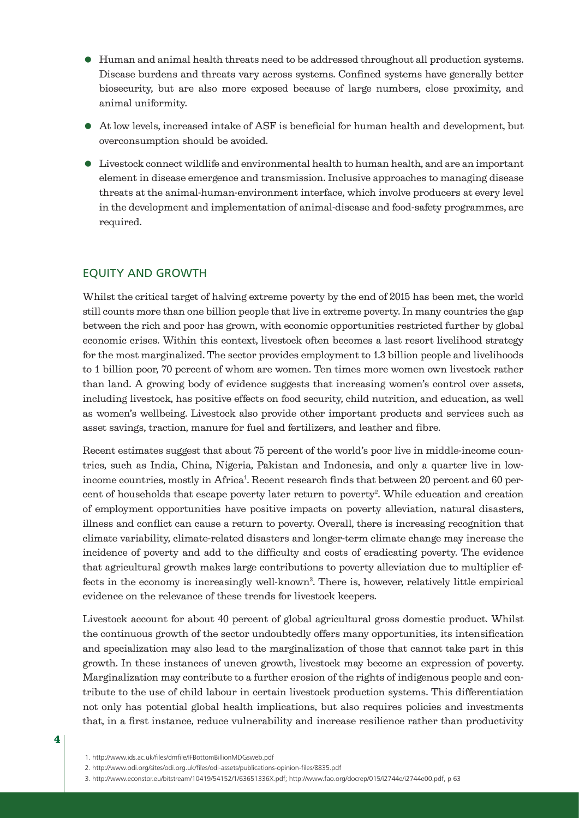- Human and animal health threats need to be addressed throughout all production systems. Disease burdens and threats vary across systems. Confined systems have generally better biosecurity, but are also more exposed because of large numbers, close proximity, and animal uniformity.
- At low levels, increased intake of ASF is beneficial for human health and development, but overconsumption should be avoided.
- Livestock connect wildlife and environmental health to human health, and are an important element in disease emergence and transmission. Inclusive approaches to managing disease threats at the animal-human-environment interface, which involve producers at every level in the development and implementation of animal-disease and food-safety programmes, are required.

### EQUITY AND GROWTH

Whilst the critical target of halving extreme poverty by the end of 2015 has been met, the world still counts more than one billion people that live in extreme poverty. In many countries the gap between the rich and poor has grown, with economic opportunities restricted further by global economic crises. Within this context, livestock often becomes a last resort livelihood strategy for the most marginalized. The sector provides employment to 1.3 billion people and livelihoods to 1 billion poor, 70 percent of whom are women. Ten times more women own livestock rather than land. A growing body of evidence suggests that increasing women's control over assets, including livestock, has positive effects on food security, child nutrition, and education, as well as women's wellbeing. Livestock also provide other important products and services such as asset savings, traction, manure for fuel and fertilizers, and leather and fibre.

Recent estimates suggest that about 75 percent of the world's poor live in middle-income countries, such as India, China, Nigeria, Pakistan and Indonesia, and only a quarter live in lowincome countries, mostly in Africa<sup>1</sup>. Recent research finds that between 20 percent and 60 percent of households that escape poverty later return to poverty<sup>2</sup>. While education and creation of employment opportunities have positive impacts on poverty alleviation, natural disasters, illness and conflict can cause a return to poverty. Overall, there is increasing recognition that climate variability, climate-related disasters and longer-term climate change may increase the incidence of poverty and add to the difficulty and costs of eradicating poverty. The evidence that agricultural growth makes large contributions to poverty alleviation due to multiplier effects in the economy is increasingly well-known<sup>3</sup>. There is, however, relatively little empirical evidence on the relevance of these trends for livestock keepers.

Livestock account for about 40 percent of global agricultural gross domestic product. Whilst the continuous growth of the sector undoubtedly offers many opportunities, its intensification and specialization may also lead to the marginalization of those that cannot take part in this growth. In these instances of uneven growth, livestock may become an expression of poverty. Marginalization may contribute to a further erosion of the rights of indigenous people and contribute to the use of child labour in certain livestock production systems. This differentiation not only has potential global health implications, but also requires policies and investments that, in a first instance, reduce vulnerability and increase resilience rather than productivity

- 2. http://www.odi.org/sites/odi.org.uk/files/odi-assets/publications-opinion-files/8835.pdf
- 3. http://www.econstor.eu/bitstream/10419/54152/1/63651336X.pdf; http://www.fao.org/docrep/015/i2744e/i2744e00.pdf, p 63

4

<sup>1.</sup> http://www.ids.ac.uk/files/dmfile/IFBottomBillionMDGsweb.pdf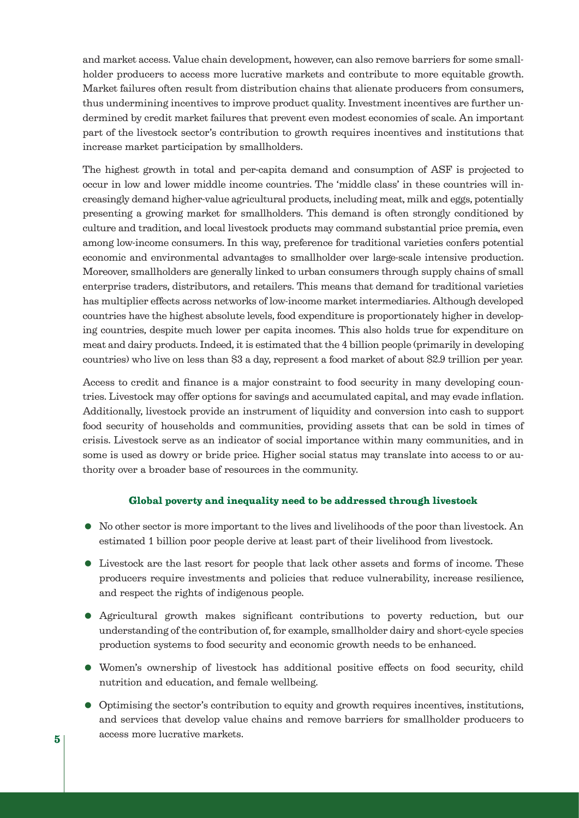and market access. Value chain development, however, can also remove barriers for some smallholder producers to access more lucrative markets and contribute to more equitable growth. Market failures often result from distribution chains that alienate producers from consumers, thus undermining incentives to improve product quality. Investment incentives are further undermined by credit market failures that prevent even modest economies of scale. An important part of the livestock sector's contribution to growth requires incentives and institutions that increase market participation by smallholders.

The highest growth in total and per-capita demand and consumption of ASF is projected to occur in low and lower middle income countries. The 'middle class' in these countries will increasingly demand higher-value agricultural products, including meat, milk and eggs, potentially presenting a growing market for smallholders. This demand is often strongly conditioned by culture and tradition, and local livestock products may command substantial price premia, even among low-income consumers. In this way, preference for traditional varieties confers potential economic and environmental advantages to smallholder over large-scale intensive production. Moreover, smallholders are generally linked to urban consumers through supply chains of small enterprise traders, distributors, and retailers. This means that demand for traditional varieties has multiplier effects across networks of low-income market intermediaries. Although developed countries have the highest absolute levels, food expenditure is proportionately higher in developing countries, despite much lower per capita incomes. This also holds true for expenditure on meat and dairy products. Indeed, it is estimated that the 4 billion people (primarily in developing countries) who live on less than \$3 a day, represent a food market of about \$2.9 trillion per year.

Access to credit and finance is a major constraint to food security in many developing countries. Livestock may offer options for savings and accumulated capital, and may evade inflation. Additionally, livestock provide an instrument of liquidity and conversion into cash to support food security of households and communities, providing assets that can be sold in times of crisis. Livestock serve as an indicator of social importance within many communities, and in some is used as dowry or bride price. Higher social status may translate into access to or authority over a broader base of resources in the community.

### Global poverty and inequality need to be addressed through livestock

- No other sector is more important to the lives and livelihoods of the poor than livestock. An estimated 1 billion poor people derive at least part of their livelihood from livestock.
- Livestock are the last resort for people that lack other assets and forms of income. These producers require investments and policies that reduce vulnerability, increase resilience, and respect the rights of indigenous people.
- Agricultural growth makes significant contributions to poverty reduction, but our understanding of the contribution of, for example, smallholder dairy and short-cycle species production systems to food security and economic growth needs to be enhanced.
- Women's ownership of livestock has additional positive effects on food security, child nutrition and education, and female wellbeing.
- Optimising the sector's contribution to equity and growth requires incentives, institutions, and services that develop value chains and remove barriers for smallholder producers to access more lucrative markets.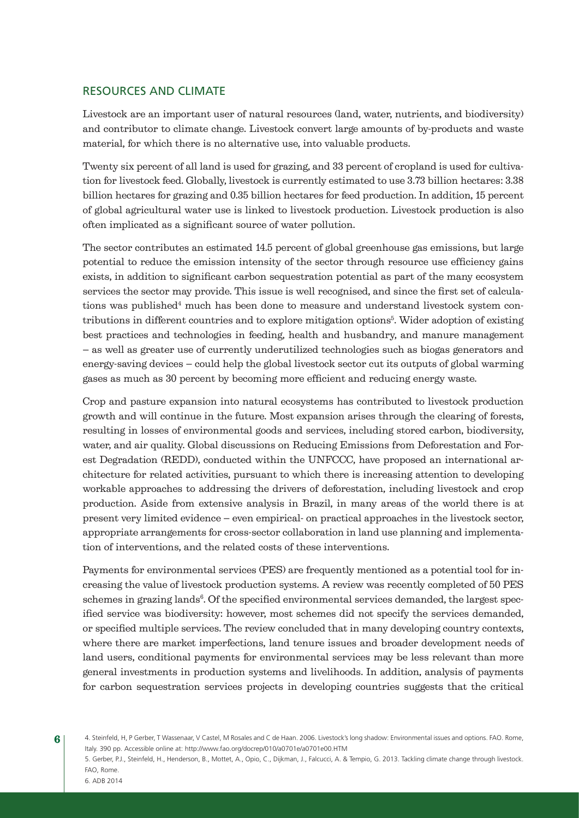## RESOURCES AND CLIMATE

Livestock are an important user of natural resources (land, water, nutrients, and biodiversity) and contributor to climate change. Livestock convert large amounts of by-products and waste material, for which there is no alternative use, into valuable products.

Twenty six percent of all land is used for grazing, and 33 percent of cropland is used for cultivation for livestock feed. Globally, livestock is currently estimated to use 3.73 billion hectares: 3.38 billion hectares for grazing and 0.35 billion hectares for feed production. In addition, 15 percent of global agricultural water use is linked to livestock production. Livestock production is also often implicated as a significant source of water pollution.

The sector contributes an estimated 14.5 percent of global greenhouse gas emissions, but large potential to reduce the emission intensity of the sector through resource use efficiency gains exists, in addition to significant carbon sequestration potential as part of the many ecosystem services the sector may provide. This issue is well recognised, and since the first set of calculations was published<sup>4</sup> much has been done to measure and understand livestock system contributions in different countries and to explore mitigation options<sup>5</sup>. Wider adoption of existing best practices and technologies in feeding, health and husbandry, and manure management – as well as greater use of currently underutilized technologies such as biogas generators and energy-saving devices – could help the global livestock sector cut its outputs of global warming gases as much as 30 percent by becoming more efficient and reducing energy waste.

Crop and pasture expansion into natural ecosystems has contributed to livestock production growth and will continue in the future. Most expansion arises through the clearing of forests, resulting in losses of environmental goods and services, including stored carbon, biodiversity, water, and air quality. Global discussions on Reducing Emissions from Deforestation and Forest Degradation (REDD), conducted within the UNFCCC, have proposed an international architecture for related activities, pursuant to which there is increasing attention to developing workable approaches to addressing the drivers of deforestation, including livestock and crop production. Aside from extensive analysis in Brazil, in many areas of the world there is at present very limited evidence – even empirical- on practical approaches in the livestock sector, appropriate arrangements for cross-sector collaboration in land use planning and implementation of interventions, and the related costs of these interventions.

Payments for environmental services (PES) are frequently mentioned as a potential tool for increasing the value of livestock production systems. A review was recently completed of 50 PES schemes in grazing lands<sup>6</sup>. Of the specified environmental services demanded, the largest specified service was biodiversity: however, most schemes did not specify the services demanded, or specified multiple services. The review concluded that in many developing country contexts, where there are market imperfections, land tenure issues and broader development needs of land users, conditional payments for environmental services may be less relevant than more general investments in production systems and livelihoods. In addition, analysis of payments for carbon sequestration services projects in developing countries suggests that the critical

6

<sup>4.</sup> Steinfeld, H, P Gerber, T Wassenaar, V Castel, M Rosales and C de Haan. 2006. Livestock's long shadow: Environmental issues and options. FAO. Rome, Italy. 390 pp. Accessible online at: http://www.fao.org/docrep/010/a0701e/a0701e00.HTM

<sup>5.</sup> Gerber, P.J., Steinfeld, H., Henderson, B., Mottet, A., Opio, C., Dijkman, J., Falcucci, A. & Tempio, G. 2013. Tackling climate change through livestock. FAO, Rome.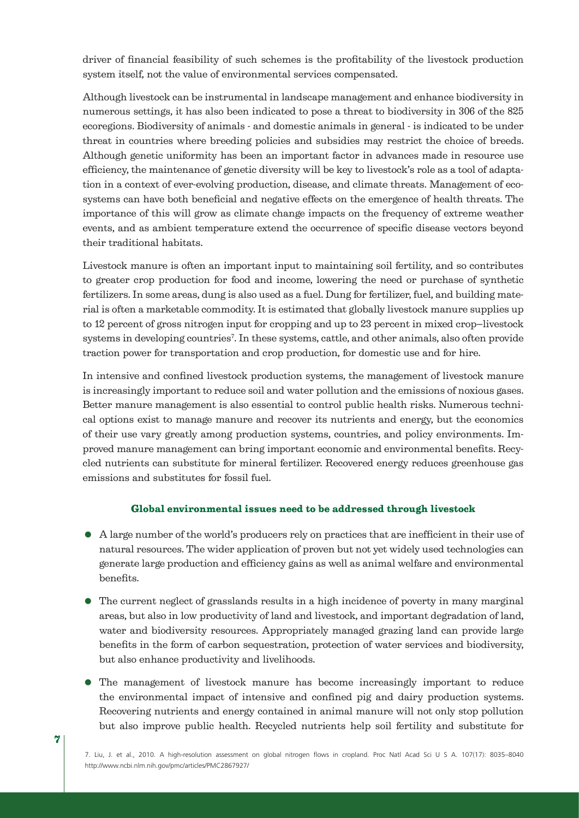driver of financial feasibility of such schemes is the profitability of the livestock production system itself, not the value of environmental services compensated.

Although livestock can be instrumental in landscape management and enhance biodiversity in numerous settings, it has also been indicated to pose a threat to biodiversity in 306 of the 825 ecoregions. Biodiversity of animals - and domestic animals in general - is indicated to be under threat in countries where breeding policies and subsidies may restrict the choice of breeds. Although genetic uniformity has been an important factor in advances made in resource use efficiency, the maintenance of genetic diversity will be key to livestock's role as a tool of adaptation in a context of ever-evolving production, disease, and climate threats. Management of ecosystems can have both beneficial and negative effects on the emergence of health threats. The importance of this will grow as climate change impacts on the frequency of extreme weather events, and as ambient temperature extend the occurrence of specific disease vectors beyond their traditional habitats.

Livestock manure is often an important input to maintaining soil fertility, and so contributes to greater crop production for food and income, lowering the need or purchase of synthetic fertilizers. In some areas, dung is also used as a fuel. Dung for fertilizer, fuel, and building material is often a marketable commodity. It is estimated that globally livestock manure supplies up to 12 percent of gross nitrogen input for cropping and up to 23 percent in mixed crop–livestock systems in developing countries<sup>7</sup>. In these systems, cattle, and other animals, also often provide traction power for transportation and crop production, for domestic use and for hire.

In intensive and confined livestock production systems, the management of livestock manure is increasingly important to reduce soil and water pollution and the emissions of noxious gases. Better manure management is also essential to control public health risks. Numerous technical options exist to manage manure and recover its nutrients and energy, but the economics of their use vary greatly among production systems, countries, and policy environments. Improved manure management can bring important economic and environmental benefits. Recycled nutrients can substitute for mineral fertilizer. Recovered energy reduces greenhouse gas emissions and substitutes for fossil fuel.

#### Global environmental issues need to be addressed through livestock

- A large number of the world's producers rely on practices that are inefficient in their use of natural resources. The wider application of proven but not yet widely used technologies can generate large production and efficiency gains as well as animal welfare and environmental benefits.
- The current neglect of grasslands results in a high incidence of poverty in many marginal areas, but also in low productivity of land and livestock, and important degradation of land, water and biodiversity resources. Appropriately managed grazing land can provide large benefits in the form of carbon sequestration, protection of water services and biodiversity, but also enhance productivity and livelihoods.
- The management of livestock manure has become increasingly important to reduce the environmental impact of intensive and confined pig and dairy production systems. Recovering nutrients and energy contained in animal manure will not only stop pollution but also improve public health. Recycled nutrients help soil fertility and substitute for

 $\gamma$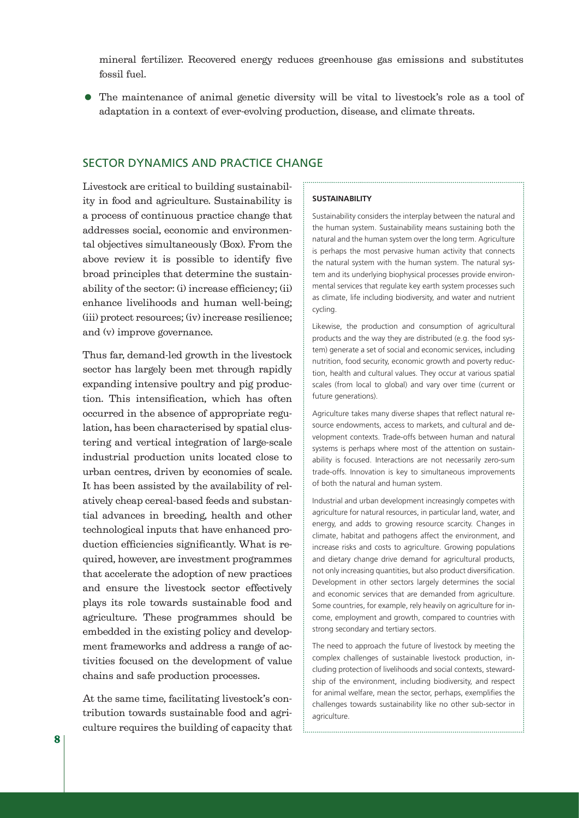mineral fertilizer. Recovered energy reduces greenhouse gas emissions and substitutes fossil fuel.

 The maintenance of animal genetic diversity will be vital to livestock's role as a tool of adaptation in a context of ever-evolving production, disease, and climate threats.

### SECTOR DYNAMICS AND PRACTICE CHANGE

Livestock are critical to building sustainability in food and agriculture. Sustainability is a process of continuous practice change that addresses social, economic and environmental objectives simultaneously (Box). From the above review it is possible to identify five broad principles that determine the sustainability of the sector: (i) increase efficiency; (ii) enhance livelihoods and human well-being; (iii) protect resources; (iv) increase resilience; and (v) improve governance.

Thus far, demand-led growth in the livestock sector has largely been met through rapidly expanding intensive poultry and pig production. This intensification, which has often occurred in the absence of appropriate regulation, has been characterised by spatial clustering and vertical integration of large-scale industrial production units located close to urban centres, driven by economies of scale. It has been assisted by the availability of relatively cheap cereal-based feeds and substantial advances in breeding, health and other technological inputs that have enhanced production efficiencies significantly. What is required, however, are investment programmes that accelerate the adoption of new practices and ensure the livestock sector effectively plays its role towards sustainable food and agriculture. These programmes should be embedded in the existing policy and development frameworks and address a range of activities focused on the development of value chains and safe production processes.

At the same time, facilitating livestock's contribution towards sustainable food and agriculture requires the building of capacity that

#### **SUSTAINABILITY**

Sustainability considers the interplay between the natural and the human system. Sustainability means sustaining both the natural and the human system over the long term. Agriculture is perhaps the most pervasive human activity that connects the natural system with the human system. The natural system and its underlying biophysical processes provide environmental services that regulate key earth system processes such as climate, life including biodiversity, and water and nutrient cycling.

Likewise, the production and consumption of agricultural products and the way they are distributed (e.g. the food system) generate a set of social and economic services, including nutrition, food security, economic growth and poverty reduction, health and cultural values. They occur at various spatial scales (from local to global) and vary over time (current or future generations).

Agriculture takes many diverse shapes that reflect natural resource endowments, access to markets, and cultural and development contexts. Trade-offs between human and natural systems is perhaps where most of the attention on sustainability is focused. Interactions are not necessarily zero-sum trade-offs. Innovation is key to simultaneous improvements of both the natural and human system.

Industrial and urban development increasingly competes with agriculture for natural resources, in particular land, water, and energy, and adds to growing resource scarcity. Changes in climate, habitat and pathogens affect the environment, and increase risks and costs to agriculture. Growing populations and dietary change drive demand for agricultural products, not only increasing quantities, but also product diversification. Development in other sectors largely determines the social and economic services that are demanded from agriculture. Some countries, for example, rely heavily on agriculture for income, employment and growth, compared to countries with strong secondary and tertiary sectors.

The need to approach the future of livestock by meeting the complex challenges of sustainable livestock production, including protection of livelihoods and social contexts, stewardship of the environment, including biodiversity, and respect for animal welfare, mean the sector, perhaps, exemplifies the challenges towards sustainability like no other sub-sector in agriculture.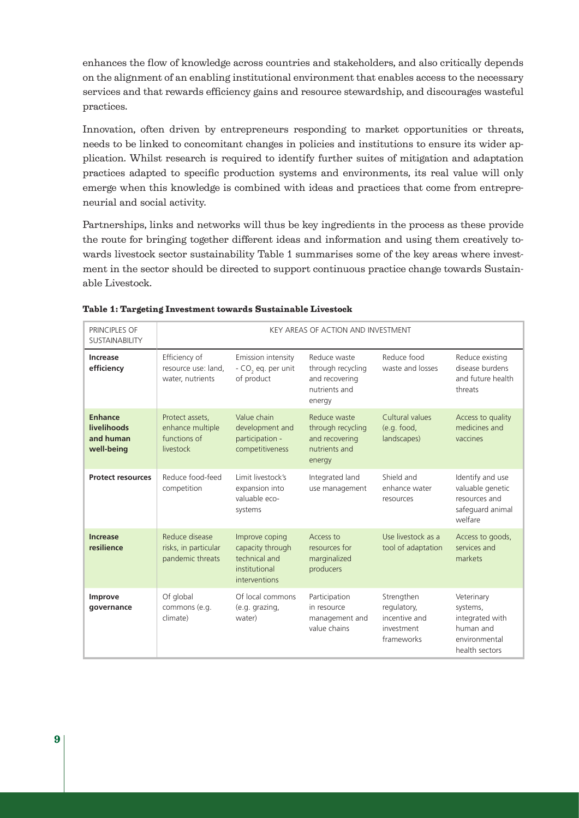enhances the flow of knowledge across countries and stakeholders, and also critically depends on the alignment of an enabling institutional environment that enables access to the necessary services and that rewards efficiency gains and resource stewardship, and discourages wasteful practices.

Innovation, often driven by entrepreneurs responding to market opportunities or threats, needs to be linked to concomitant changes in policies and institutions to ensure its wider application. Whilst research is required to identify further suites of mitigation and adaptation practices adapted to specific production systems and environments, its real value will only emerge when this knowledge is combined with ideas and practices that come from entrepreneurial and social activity.

Partnerships, links and networks will thus be key ingredients in the process as these provide the route for bringing together different ideas and information and using them creatively towards livestock sector sustainability Table 1 summarises some of the key areas where investment in the sector should be directed to support continuous practice change towards Sustainable Livestock.

| PRINCIPLES OF<br><b>SUSTAINABILITY</b>                   | KEY AREAS OF ACTION AND INVESTMENT                               |                                                                                       |                                                                                |                                                                        |                                                                                           |
|----------------------------------------------------------|------------------------------------------------------------------|---------------------------------------------------------------------------------------|--------------------------------------------------------------------------------|------------------------------------------------------------------------|-------------------------------------------------------------------------------------------|
| Increase<br>efficiency                                   | Efficiency of<br>resource use: land,<br>water, nutrients         | Emission intensity<br>$-CO2$ eq. per unit<br>of product                               | Reduce waste<br>through recycling<br>and recovering<br>nutrients and<br>energy | Reduce food<br>waste and losses                                        | Reduce existing<br>disease burdens<br>and future health<br>threats                        |
| <b>Enhance</b><br>livelihoods<br>and human<br>well-being | Protect assets,<br>enhance multiple<br>functions of<br>livestock | Value chain<br>development and<br>participation -<br>competitiveness                  | Reduce waste<br>through recycling<br>and recovering<br>nutrients and<br>energy | Cultural values<br>(e.g. food,<br>landscapes)                          | Access to quality<br>medicines and<br>vaccines                                            |
| <b>Protect resources</b>                                 | Reduce food-feed<br>competition                                  | Limit livestock's<br>expansion into<br>valuable eco-<br>systems                       | Integrated land<br>use management                                              | Shield and<br>enhance water<br>resources                               | Identify and use<br>valuable genetic<br>resources and<br>safeguard animal<br>welfare      |
| <b>Increase</b><br>resilience                            | Reduce disease<br>risks, in particular<br>pandemic threats       | Improve coping<br>capacity through<br>technical and<br>institutional<br>interventions | Access to<br>resources for<br>marginalized<br>producers                        | Use livestock as a<br>tool of adaptation                               | Access to goods,<br>services and<br>markets                                               |
| Improve<br>governance                                    | Of global<br>commons (e.g.<br>climate)                           | Of local commons<br>(e.g. grazing,<br>water)                                          | Participation<br>in resource<br>management and<br>value chains                 | Strengthen<br>regulatory,<br>incentive and<br>investment<br>frameworks | Veterinary<br>systems,<br>integrated with<br>human and<br>environmental<br>health sectors |

| Table 1: Targeting Investment towards Sustainable Livestock |  |  |
|-------------------------------------------------------------|--|--|
|-------------------------------------------------------------|--|--|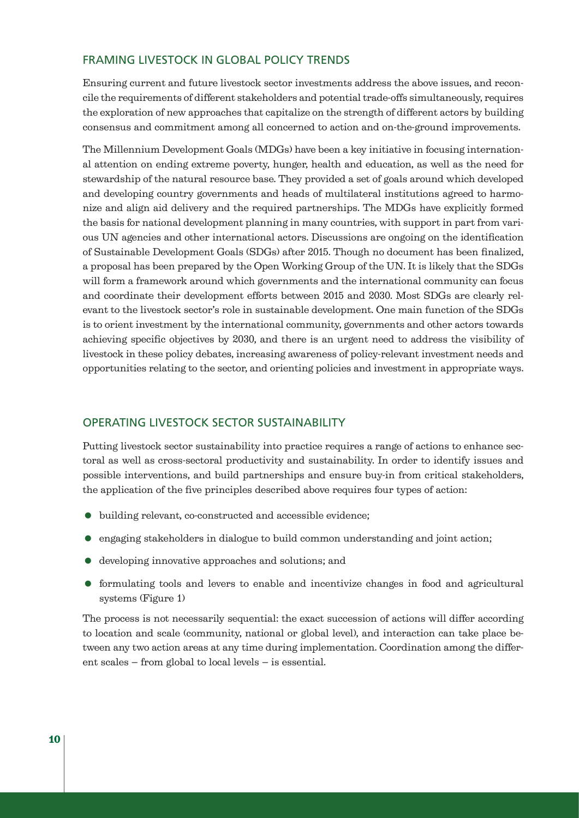### FRAMING LIVESTOCK IN GLOBAL POLICY TRENDS

Ensuring current and future livestock sector investments address the above issues, and reconcile the requirements of different stakeholders and potential trade-offs simultaneously, requires the exploration of new approaches that capitalize on the strength of different actors by building consensus and commitment among all concerned to action and on-the-ground improvements.

The Millennium Development Goals (MDGs) have been a key initiative in focusing international attention on ending extreme poverty, hunger, health and education, as well as the need for stewardship of the natural resource base. They provided a set of goals around which developed and developing country governments and heads of multilateral institutions agreed to harmonize and align aid delivery and the required partnerships. The MDGs have explicitly formed the basis for national development planning in many countries, with support in part from various UN agencies and other international actors. Discussions are ongoing on the identification of Sustainable Development Goals (SDGs) after 2015. Though no document has been finalized, a proposal has been prepared by the Open Working Group of the UN. It is likely that the SDGs will form a framework around which governments and the international community can focus and coordinate their development efforts between 2015 and 2030. Most SDGs are clearly relevant to the livestock sector's role in sustainable development. One main function of the SDGs is to orient investment by the international community, governments and other actors towards achieving specific objectives by 2030, and there is an urgent need to address the visibility of livestock in these policy debates, increasing awareness of policy-relevant investment needs and opportunities relating to the sector, and orienting policies and investment in appropriate ways.

### OPERATING LIVESTOCK SECTOR SUSTAINABILITY

Putting livestock sector sustainability into practice requires a range of actions to enhance sectoral as well as cross-sectoral productivity and sustainability. In order to identify issues and possible interventions, and build partnerships and ensure buy-in from critical stakeholders, the application of the five principles described above requires four types of action:

- building relevant, co-constructed and accessible evidence;
- engaging stakeholders in dialogue to build common understanding and joint action;
- developing innovative approaches and solutions; and
- formulating tools and levers to enable and incentivize changes in food and agricultural systems (Figure 1)

The process is not necessarily sequential: the exact succession of actions will differ according to location and scale (community, national or global level), and interaction can take place between any two action areas at any time during implementation. Coordination among the different scales – from global to local levels – is essential.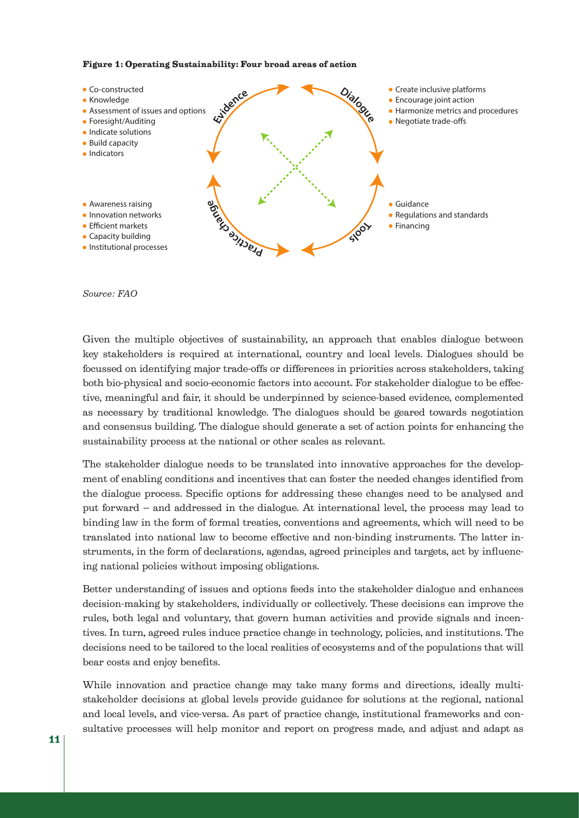#### Figure 1: Operating Sustainability: Four broad areas of action



#### *Source: FAO*

Given the multiple objectives of sustainability, an approach that enables dialogue between key stakeholders is required at international, country and local levels. Dialogues should be focussed on identifying major trade-offs or differences in priorities across stakeholders, taking both bio-physical and socio-economic factors into account. For stakeholder dialogue to be effective, meaningful and fair, it should be underpinned by science-based evidence, complemented as necessary by traditional knowledge. The dialogues should be geared towards negotiation and consensus building. The dialogue should generate a set of action points for enhancing the sustainability process at the national or other scales as relevant.

The stakeholder dialogue needs to be translated into innovative approaches for the development of enabling conditions and incentives that can foster the needed changes identified from the dialogue process. Specific options for addressing these changes need to be analysed and put forward – and addressed in the dialogue. At international level, the process may lead to binding law in the form of formal treaties, conventions and agreements, which will need to be translated into national law to become effective and non-binding instruments. The latter instruments, in the form of declarations, agendas, agreed principles and targets, act by influencing national policies without imposing obligations.

Better understanding of issues and options feeds into the stakeholder dialogue and enhances decision-making by stakeholders, individually or collectively. These decisions can improve the rules, both legal and voluntary, that govern human activities and provide signals and incentives. In turn, agreed rules induce practice change in technology, policies, and institutions. The decisions need to be tailored to the local realities of ecosystems and of the populations that will bear costs and enjoy benefits.

While innovation and practice change may take many forms and directions, ideally multistakeholder decisions at global levels provide guidance for solutions at the regional, national and local levels, and vice-versa. As part of practice change, institutional frameworks and consultative processes will help monitor and report on progress made, and adjust and adapt as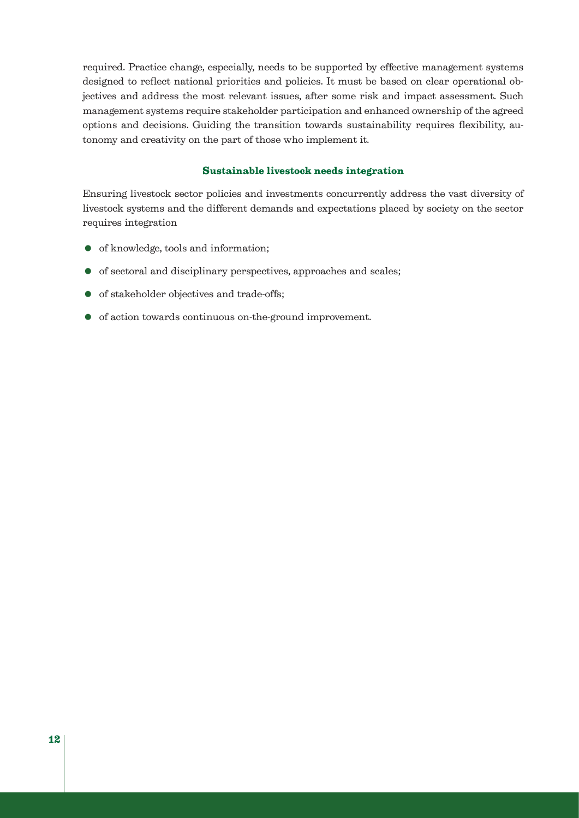required. Practice change, especially, needs to be supported by effective management systems designed to reflect national priorities and policies. It must be based on clear operational objectives and address the most relevant issues, after some risk and impact assessment. Such management systems require stakeholder participation and enhanced ownership of the agreed options and decisions. Guiding the transition towards sustainability requires flexibility, autonomy and creativity on the part of those who implement it.

#### Sustainable livestock needs integration

Ensuring livestock sector policies and investments concurrently address the vast diversity of livestock systems and the different demands and expectations placed by society on the sector requires integration

- of knowledge, tools and information;
- of sectoral and disciplinary perspectives, approaches and scales;
- of stakeholder objectives and trade-offs;
- of action towards continuous on-the-ground improvement.